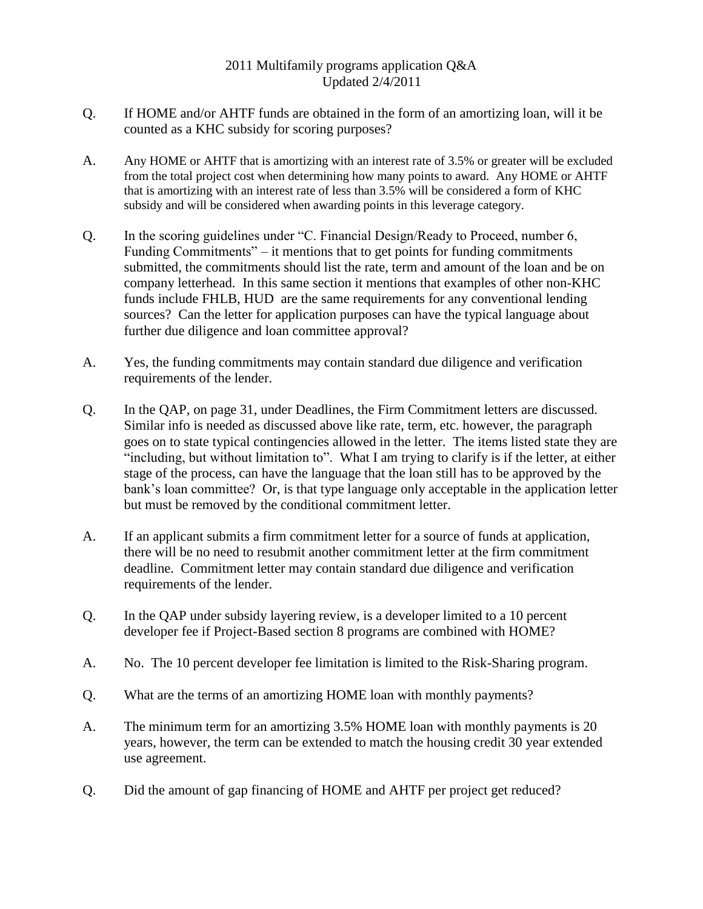## 2011 Multifamily programs application Q&A Updated 2/4/2011

- Q. If HOME and/or AHTF funds are obtained in the form of an amortizing loan, will it be counted as a KHC subsidy for scoring purposes?
- A. Any HOME or AHTF that is amortizing with an interest rate of 3.5% or greater will be excluded from the total project cost when determining how many points to award. Any HOME or AHTF that is amortizing with an interest rate of less than 3.5% will be considered a form of KHC subsidy and will be considered when awarding points in this leverage category.
- Q. In the scoring guidelines under "C. Financial Design/Ready to Proceed, number 6, Funding Commitments" – it mentions that to get points for funding commitments submitted, the commitments should list the rate, term and amount of the loan and be on company letterhead. In this same section it mentions that examples of other non-KHC funds include FHLB, HUD are the same requirements for any conventional lending sources? Can the letter for application purposes can have the typical language about further due diligence and loan committee approval?
- A. Yes, the funding commitments may contain standard due diligence and verification requirements of the lender.
- Q. In the QAP, on page 31, under Deadlines, the Firm Commitment letters are discussed. Similar info is needed as discussed above like rate, term, etc. however, the paragraph goes on to state typical contingencies allowed in the letter. The items listed state they are "including, but without limitation to". What I am trying to clarify is if the letter, at either stage of the process, can have the language that the loan still has to be approved by the bank's loan committee? Or, is that type language only acceptable in the application letter but must be removed by the conditional commitment letter.
- A. If an applicant submits a firm commitment letter for a source of funds at application, there will be no need to resubmit another commitment letter at the firm commitment deadline. Commitment letter may contain standard due diligence and verification requirements of the lender.
- Q. In the QAP under subsidy layering review, is a developer limited to a 10 percent developer fee if Project-Based section 8 programs are combined with HOME?
- A. No. The 10 percent developer fee limitation is limited to the Risk-Sharing program.
- Q. What are the terms of an amortizing HOME loan with monthly payments?
- A. The minimum term for an amortizing 3.5% HOME loan with monthly payments is 20 years, however, the term can be extended to match the housing credit 30 year extended use agreement.
- Q. Did the amount of gap financing of HOME and AHTF per project get reduced?